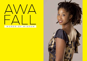

### *WORDS OF WISDOM*

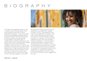# BIOGRAPHY



The Italian-Senegalese singer is just 21 years old but her amazing voice and charisma rival that of many experienced artists. In 2015, she was just 18 and released a reggae album (entitled "INA DIS YA IWA", produced by Bonnot Music and distributed by Goofellas). The same year, in collaboration with Eazy Skankers, she performed on the most popular reggae will be distributed throughout the stages across Europe (Rototom, Overjam, One Love, etc.). In 2016, she started her career as solo artist, which allowed her to start several important collaborations within the black music scenario, in Italy and Europe, then she came back to record the tracks for her new discographic work with

the awardwinning producer Bonnot (General Levy, Dead Prez, Assalti Frontali). In 2017, she played at Dub Camp, Dub Gathering, Overjam, and many other festivals, going across more than 10 nations (even outside Europe). On January 4, 2019, she will release her new and long-awaited "Words of Wisdom". The new album continent and from January on Awa Fall (aka Sista Awa) will be on tour with her new band, the Smoke Orchestra, composed of the greatest black music musicians, to create a live set that embraces all genres of world music, from soul to African music, reggae and hip-hop.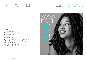## ALBUM

**Spotify:** https://spoti.f/2Qx5ZdM **iTunes:** https://apple.co/2RZzBSB



Tracklist:

- 01- Ossou Gallé 02- Believe feat. Kumar
- 03- Time is now
- 04- Be the difference
- 05- In my name
- 06- Everyday is war feat. M1 dead prez
- 07- Nuff a dem feat. General Levy
- 08- Peace of mind
- 09- A.W.A. feat. Irie Child
- 10- Dentro di me feat. Tommy Kuti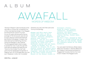## ALBUM

# $\triangle V \triangle F \triangle$ WORDS OF WISDOM

"Words of Wisdom" (Bonnot Music) is the new album of Awa Fall, considered one of the most talented singer in the Reggae and World Music scene in Europe. At only 22 years old she performed an average of 100 shows per year all over Europe, playing in all the best festivals like Rototom Sunsplash, Overjam, the International Dub Gathering, the Dub Camp and Bergamo Jazz Festival. The Senegalese/Italian artist is ready to spread her new music through this international release that features the "Grammy Nominated" Kumar Fyah (Jam) former-leadsinger/songwriter of Raging Fyah, M1 of the legendary hip-hop duo "Deadprez" (USA), the "Incredible"

General Levy (UK), Irie Child (Jam) and Tommy Kuti (Ita/Nig).

Reggae and Afro music have always been part of Awa's roots, but producer Walter "Bonnot" Buonanno (Deadprez, General Levy Assalti Frontali) led her on a path through different landscapes creating an album full of different styles and new faces. "Words of Wisdom" will be released on January 7th in all digital stores for Bonnot Music and physically by Master Music. Composed, recorded and produced by the multi-award winning Bonnot at his Bonnot studio in

Viareggio (Italy). Mixed by Gianni Condina (Subsonica, BlueBeaters, Levante) and Bonnot. Mastering by Chris Athens (Damian Marley, Erykah Badu, Sean Paul).

Awa Fall's Tour, managed by Tube Agency, is already started and she will play all over Europe, Canada and Indonesia backed by the Smoke Orchestra.

You can watch the first two official videos taken from the album ("Be the difference" and "Believe") exclusively premiered on Reggaeville Youtube channel, the most known media in the Reggae world.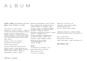### ALBUM

**LYRICS & VOCALS:** AWA MIRONE aka AWA FALL **MUSIC:** WALTER BUONANNO aka BONNOT

Lead guitars: Ermanno Fabbri

Keyboards : Daniele Di Marco , except for by Bonnot & Pasquale Catalano. "In my name" piano by Riccardo Di Paola.

Rhythmic Guitars: Ermanno Fabbri & Bonnot, except for "Believe" performed by Ermanno Fabbri & Piero Dread, except Ossou Gallé performed by Matteo Ghione.

Bass: Bonnot

Acoustic Drums: Nico Roccamo

Percussions: Matteo Ghione

Horns: Tiziano Cannas

Strings: Onda Nueve String Quartet

Backing vocals: Living Harmonies aka Empress Elisa & Blacky Grace. (In Ossou Gallé: Matteo Ghione & Ashraff 30) .

Programming & Synths : Bonnot

Additional programming: Gianni Condina

Music composed and arranged by Bonnot @ Bonnot Studio in Viareggio (ITA)

Strings written & arranged by Pasquale Catalano, except for "Peace of Mind"

Recorded & Engineered by Bonnot @ Bonnot Studio in Viareggio (ITA)

Strings recorded by Giuseppe Sasso at Amarcord Studio, Napoli (ITA)

Mixed by Gianni Condina & Bonnot

Mastering by Chris Athens @ ChrisAthensMasters.com (Austin TX- USA)

#### **Guests:**

M1 dead prez on Everyday is war Kumar Raging Fyah on Believe General Levy on Dub Irie Child on Acoustic

Tommy Kuti on Dentro di me Fotografie : Astra Marina Cabras (www.astramarina.com)

Artwork: Simone Loathin Casati

Produzione esecutiva : Walter "Bonnot" Buonanno per Bonnot Music (www.bonnot.it)

Label: Bonnot Music Distribution: Master Music Legal: Dike Legal ( http://dikelegal.it/)

#### **www.awafall.com**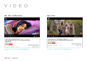# VIDEO

### Be The Difference Believe



https://youtu.be/h7B2sVpMbmA



https://youtu.be/T7P9HyWhnww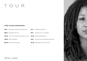# TOUR

### FIRST DATES ANNOUNCED

| <b>18.1</b> Barcellona (S) @ Trakasound                               | <b>5.4</b> Modena @ Vibra                 |
|-----------------------------------------------------------------------|-------------------------------------------|
| <b>26.1</b> Bologna @ TPO                                             | <b>6.4</b> Roma @ c.s. Acrobax            |
| <b>15.2</b> Torino @ Hiroshima Mon Amour <b>13.4</b> Brescia @ Mag.47 |                                           |
| <b>16.2</b> Milano @ Biko                                             | <b>2.6</b> Wurzburg (D) @ Africa Festival |
| 09.3 Firenze @ Combo                                                  | <b>31.8</b> Bielefeld (D) @ Turnpike      |